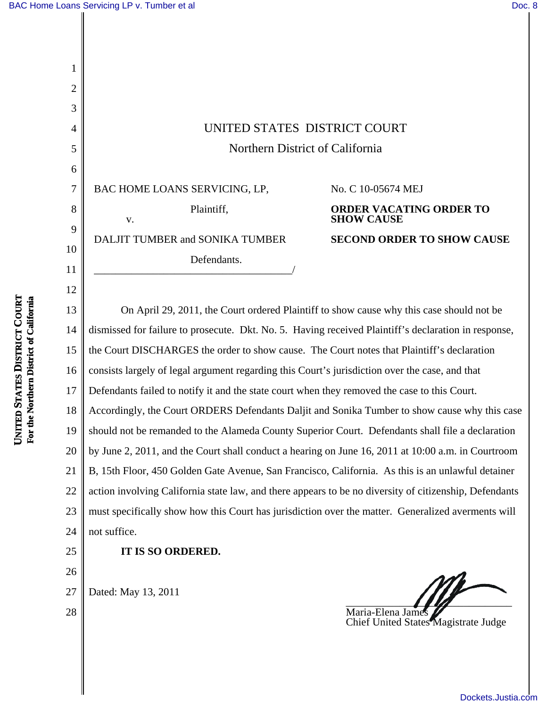1

2

3

4

5

6

7

8

9

10

11

12

## Northern District of California

BAC HOME LOANS SERVICING, LP, Plaintiff, v.

DALJIT TUMBER and SONIKA TUMBER Defendants. \_\_\_\_\_\_\_\_\_\_\_\_\_\_\_\_\_\_\_\_\_\_\_\_\_\_\_\_\_\_\_\_\_\_\_\_\_/ No. C 10-05674 MEJ **ORDER VACATING ORDER TO SHOW CAUSE SECOND ORDER TO SHOW CAUSE**

13 14 15 16 17 18 19 20 21 22 23 24 **NITED** UNITED STATES DISTRICT COURT On April 29, 2011, the Court ordered Plaintiff to show cause why this case should not be dismissed for failure to prosecute. Dkt. No. 5. Having received Plaintiff's declaration in response, the Court DISCHARGES the order to show cause. The Court notes that Plaintiff's declaration consists largely of legal argument regarding this Court's jurisdiction over the case, and that Defendants failed to notify it and the state court when they removed the case to this Court. Accordingly, the Court ORDERS Defendants Daljit and Sonika Tumber to show cause why this case should not be remanded to the Alameda County Superior Court. Defendants shall file a declaration by June 2, 2011, and the Court shall conduct a hearing on June 16, 2011 at 10:00 a.m. in Courtroom B, 15th Floor, 450 Golden Gate Avenue, San Francisco, California. As this is an unlawful detainer action involving California state law, and there appears to be no diversity of citizenship, Defendants must specifically show how this Court has jurisdiction over the matter. Generalized averments will not suffice.

25

26

**IT IS SO ORDERED.**

27 Dated: May 13, 2011

28

Maria-Elena James Chief United States Magistrate Judge